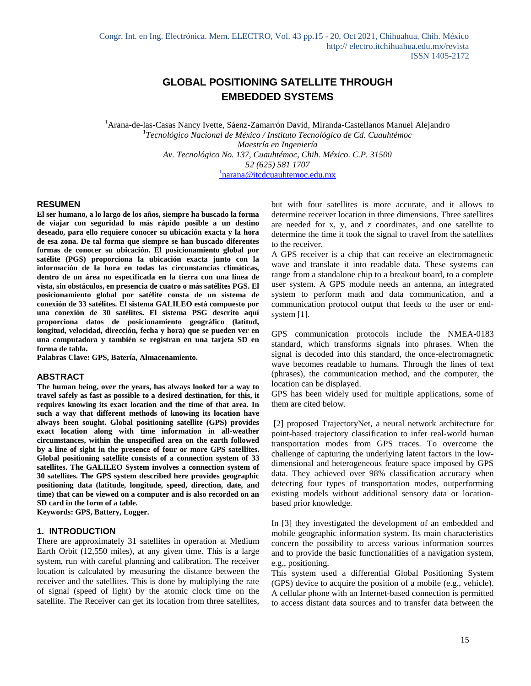# **GLOBAL POSITIONING SATELLITE THROUGH EMBEDDED SYSTEMS**

<sup>1</sup>Arana-de-las-Casas Nancy Ivette, Sáenz-Zamarrón David, Miranda-Castellanos Manuel Alejandro 1 *Tecnológico Nacional de México / Instituto Tecnológico de Cd. Cuauhtémoc Maestría en Ingeniería Av. Tecnológico No. 137, Cuauhtémoc, Chih. México. C.P. 31500 52 (625) 581 1707* <sup>1</sup>[narana@itcdcuauhtemoc.edu.mx](mailto:1narana@itcdcuauhtemoc.edu.mx)

### **RESUMEN**

**El ser humano, a lo largo de los años, siempre ha buscado la forma de viajar con seguridad lo más rápido posible a un destino deseado, para ello requiere conocer su ubicación exacta y la hora de esa zona. De tal forma que siempre se han buscado diferentes formas de conocer su ubicación. El posicionamiento global por satélite (PGS) proporciona la ubicación exacta junto con la información de la hora en todas las circunstancias climáticas, dentro de un área no especificada en la tierra con una línea de vista, sin obstáculos, en presencia de cuatro o más satélites PGS. El posicionamiento global por satélite consta de un sistema de conexión de 33 satélites. El sistema GALILEO está compuesto por una conexión de 30 satélites. El sistema PSG descrito aquí proporciona datos de posicionamiento geográfico (latitud, longitud, velocidad, dirección, fecha y hora) que se pueden ver en una computadora y también se registran en una tarjeta SD en forma de tabla.**

**Palabras Clave: GPS, Batería, Almacenamiento.**

#### **ABSTRACT**

**The human being, over the years, has always looked for a way to travel safely as fast as possible to a desired destination, for this, it requires knowing its exact location and the time of that area. In such a way that different methods of knowing its location have always been sought. Global positioning satellite (GPS) provides exact location along with time information in all-weather circumstances, within the unspecified area on the earth followed by a line of sight in the presence of four or more GPS satellites. Global positioning satellite consists of a connection system of 33 satellites. The GALILEO System involves a connection system of 30 satellites. The GPS system described here provides geographic positioning data (latitude, longitude, speed, direction, date, and time) that can be viewed on a computer and is also recorded on an SD card in the form of a table.**

**Keywords: GPS, Battery, Logger.**

### **1. INTRODUCTION**

There are approximately 31 satellites in operation at Medium Earth Orbit (12,550 miles), at any given time. This is a large system, run with careful planning and calibration. The receiver location is calculated by measuring the distance between the receiver and the satellites. This is done by multiplying the rate of signal (speed of light) by the atomic clock time on the satellite. The Receiver can get its location from three satellites, but with four satellites is more accurate, and it allows to determine receiver location in three dimensions. Three satellites are needed for x, y, and z coordinates, and one satellite to determine the time it took the signal to travel from the satellites to the receiver.

A GPS receiver is a chip that can receive an electromagnetic wave and translate it into readable data. These systems can range from a standalone chip to a breakout board, to a complete user system. A GPS module needs an antenna, an integrated system to perform math and data communication, and a communication protocol output that feeds to the user or endsystem [1].

GPS communication protocols include the NMEA-0183 standard, which transforms signals into phrases. When the signal is decoded into this standard, the once-electromagnetic wave becomes readable to humans. Through the lines of text (phrases), the communication method, and the computer, the location can be displayed.

GPS has been widely used for multiple applications, some of them are cited below.

[2] proposed TrajectoryNet, a neural network architecture for point-based trajectory classification to infer real-world human transportation modes from GPS traces. To overcome the challenge of capturing the underlying latent factors in the lowdimensional and heterogeneous feature space imposed by GPS data. They achieved over 98% classification accuracy when detecting four types of transportation modes, outperforming existing models without additional sensory data or locationbased prior knowledge.

In [3] they investigated the development of an embedded and mobile geographic information system. Its main characteristics concern the possibility to access various information sources and to provide the basic functionalities of a navigation system, e.g., positioning.

This system used a differential Global Positioning System (GPS) device to acquire the position of a mobile (e.g., vehicle). A cellular phone with an Internet-based connection is permitted to access distant data sources and to transfer data between the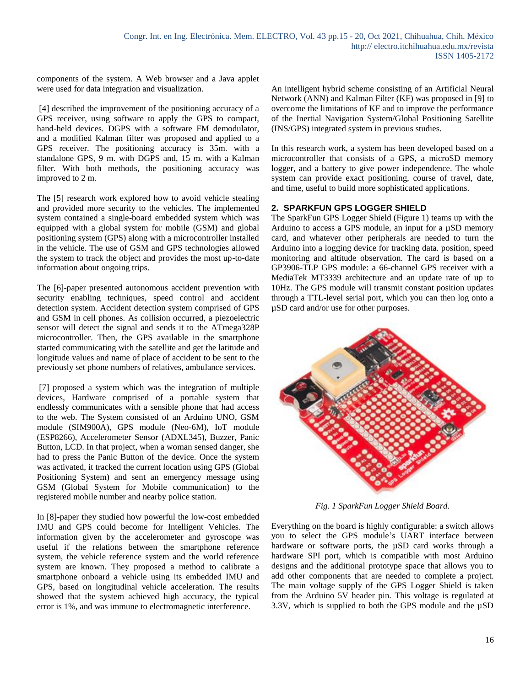components of the system. A Web browser and a Java applet were used for data integration and visualization.

[4] described the improvement of the positioning accuracy of a GPS receiver, using software to apply the GPS to compact, hand-held devices. DGPS with a software FM demodulator, and a modified Kalman filter was proposed and applied to a GPS receiver. The positioning accuracy is 35m. with a standalone GPS, 9 m. with DGPS and, 15 m. with a Kalman filter. With both methods, the positioning accuracy was improved to 2 m.

The [5] research work explored how to avoid vehicle stealing and provided more security to the vehicles. The implemented system contained a single-board embedded system which was equipped with a global system for mobile (GSM) and global positioning system (GPS) along with a microcontroller installed in the vehicle. The use of GSM and GPS technologies allowed the system to track the object and provides the most up-to-date information about ongoing trips.

The [6]-paper presented autonomous accident prevention with security enabling techniques, speed control and accident detection system. Accident detection system comprised of GPS and GSM in cell phones. As collision occurred, a piezoelectric sensor will detect the signal and sends it to the ATmega328P microcontroller. Then, the GPS available in the smartphone started communicating with the satellite and get the latitude and longitude values and name of place of accident to be sent to the previously set phone numbers of relatives, ambulance services.

[7] proposed a system which was the integration of multiple devices, Hardware comprised of a portable system that endlessly communicates with a sensible phone that had access to the web. The System consisted of an Arduino UNO, GSM module (SIM900A), GPS module (Neo-6M), IoT module (ESP8266), Accelerometer Sensor (ADXL345), Buzzer, Panic Button, LCD. In that project, when a woman sensed danger, she had to press the Panic Button of the device. Once the system was activated, it tracked the current location using GPS (Global Positioning System) and sent an emergency message using GSM (Global System for Mobile communication) to the registered mobile number and nearby police station.

In [8]-paper they studied how powerful the low-cost embedded IMU and GPS could become for Intelligent Vehicles. The information given by the accelerometer and gyroscope was useful if the relations between the smartphone reference system, the vehicle reference system and the world reference system are known. They proposed a method to calibrate a smartphone onboard a vehicle using its embedded IMU and GPS, based on longitudinal vehicle acceleration. The results showed that the system achieved high accuracy, the typical error is 1%, and was immune to electromagnetic interference.

An intelligent hybrid scheme consisting of an Artificial Neural Network (ANN) and Kalman Filter (KF) was proposed in [9] to overcome the limitations of KF and to improve the performance of the Inertial Navigation System/Global Positioning Satellite (INS/GPS) integrated system in previous studies.

In this research work, a system has been developed based on a microcontroller that consists of a GPS, a microSD memory logger, and a battery to give power independence. The whole system can provide exact positioning, course of travel, date, and time, useful to build more sophisticated applications.

## **2. SPARKFUN GPS LOGGER SHIELD**

The SparkFun GPS Logger Shield (Figure 1) teams up with the Arduino to access a GPS module, an input for a µSD memory card, and whatever other peripherals are needed to turn the Arduino into a logging device for tracking data. position, speed monitoring and altitude observation. The card is based on a GP3906-TLP GPS module: a 66-channel GPS receiver with a MediaTek MT3339 architecture and an update rate of up to 10Hz. The GPS module will transmit constant position updates through a TTL-level serial port, which you can then log onto a µSD card and/or use for other purposes.



*Fig. 1 SparkFun Logger Shield Board.*

Everything on the board is highly configurable: a switch allows you to select the GPS module's UART interface between hardware or software ports, the  $\mu SD$  card works through a hardware SPI port, which is compatible with most Arduino designs and the additional prototype space that allows you to add other components that are needed to complete a project. The main voltage supply of the GPS Logger Shield is taken from the Arduino 5V header pin. This voltage is regulated at 3.3V, which is supplied to both the GPS module and the µSD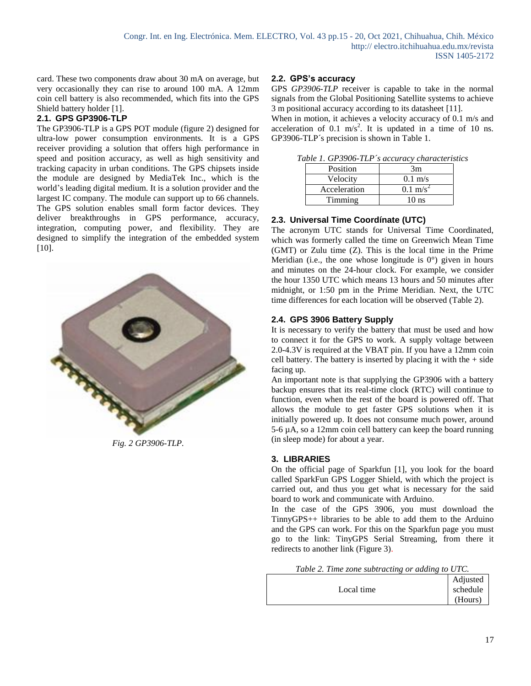card. These two components draw about 30 mA on average, but very occasionally they can rise to around 100 mA. A 12mm coin cell battery is also recommended, which fits into the GPS Shield battery holder [1].

## **2.1. GPS GP3906-TLP**

The GP3906-TLP is a GPS POT module (figure 2) designed for ultra-low power consumption environments. It is a GPS receiver providing a solution that offers high performance in speed and position accuracy, as well as high sensitivity and tracking capacity in urban conditions. The GPS chipsets inside the module are designed by MediaTek Inc., which is the world's leading digital medium. It is a solution provider and the largest IC company. The module can support up to 66 channels. The GPS solution enables small form factor devices. They deliver breakthroughs in GPS performance, accuracy, integration, computing power, and flexibility. They are designed to simplify the integration of the embedded system [10].



*Fig. 2 GP3906-TLP.*

## **2.2. GPS's accuracy**

GPS *GP3906-TLP* receiver is capable to take in the normal signals from the Global Positioning Satellite systems to achieve 3 m positional accuracy according to its datasheet [11].

When in motion, it achieves a velocity accuracy of 0.1 m/s and acceleration of 0.1 m/s<sup>2</sup>. It is updated in a time of 10 ns. GP3906-TLP´s precision is shown in Table 1.

|  |  |  | Table 1. GP3906-TLP's accuracy characteristics |
|--|--|--|------------------------------------------------|
|--|--|--|------------------------------------------------|

| Position     | 3m                  |
|--------------|---------------------|
| Velocity     | $0.1 \text{ m/s}$   |
| Acceleration | $0.1 \text{ m/s}^2$ |
| Timming      | 10 ns               |

## **2.3. Universal Time Coordínate (UTC)**

The acronym UTC stands for Universal Time Coordinated, which was formerly called the time on Greenwich Mean Time (GMT) or Zulu time (Z). This is the local time in the Prime Meridian (i.e., the one whose longitude is  $0^{\circ}$ ) given in hours and minutes on the 24-hour clock. For example, we consider the hour 1350 UTC which means 13 hours and 50 minutes after midnight, or 1:50 pm in the Prime Meridian. Next, the UTC time differences for each location will be observed (Table 2).

## **2.4. GPS 3906 Battery Supply**

It is necessary to verify the battery that must be used and how to connect it for the GPS to work. A supply voltage between 2.0-4.3V is required at the VBAT pin. If you have a 12mm coin cell battery. The battery is inserted by placing it with the  $+$  side facing up.

An important note is that supplying the GP3906 with a battery backup ensures that its real-time clock (RTC) will continue to function, even when the rest of the board is powered off. That allows the module to get faster GPS solutions when it is initially powered up. It does not consume much power, around 5-6 µA, so a 12mm coin cell battery can keep the board running (in sleep mode) for about a year.

## **3. LIBRARIES**

On the official page of Sparkfun [1], you look for the board called SparkFun GPS Logger Shield, with which the project is carried out, and thus you get what is necessary for the said board to work and communicate with Arduino.

In the case of the GPS 3906, you must download the TinnyGPS++ libraries to be able to add them to the Arduino and the GPS can work. For this on the Sparkfun page you must go to the link: TinyGPS Serial Streaming, from there it redirects to another link (Figure 3).

|  |  | Table 2. Time zone subtracting or adding to UTC. |  |  |
|--|--|--------------------------------------------------|--|--|
|--|--|--------------------------------------------------|--|--|

|            | Adjusted |
|------------|----------|
| Local time | schedule |
|            | (Hours)  |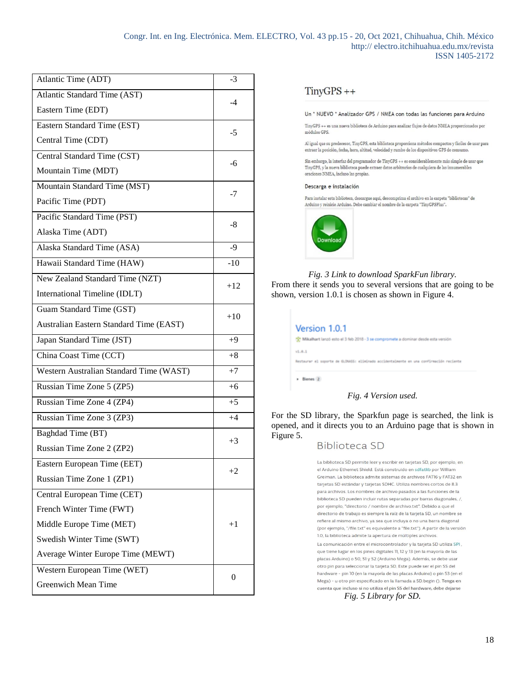| Atlantic Time (ADT)                     | $-3$  |  |
|-----------------------------------------|-------|--|
| Atlantic Standard Time (AST)            | -4    |  |
| Eastern Time (EDT)                      |       |  |
| Eastern Standard Time (EST)             | $-5$  |  |
| Central Time (CDT)                      |       |  |
| Central Standard Time (CST)             | -6    |  |
| Mountain Time (MDT)                     |       |  |
| Mountain Standard Time (MST)            | $-7$  |  |
| Pacific Time (PDT)                      |       |  |
| Pacific Standard Time (PST)             | $-8$  |  |
| Alaska Time (ADT)                       |       |  |
| Alaska Standard Time (ASA)              | $-9$  |  |
| Hawaii Standard Time (HAW)              | $-10$ |  |
| New Zealand Standard Time (NZT)         | $+12$ |  |
| International Timeline (IDLT)           |       |  |
| Guam Standard Time (GST)                | $+10$ |  |
| Australian Eastern Standard Time (EAST) |       |  |
| Japan Standard Time (JST)               | $+9$  |  |
| China Coast Time (CCT)                  | $+8$  |  |
| Western Australian Standard Time (WAST) | $+7$  |  |
| Russian Time Zone 5 (ZP5)               | $+6$  |  |
| Russian Time Zone 4 (ZP4)               | $+5$  |  |
| Russian Time Zone 3 (ZP3)               | $+4$  |  |
| Baghdad Time (BT)                       | $+3$  |  |
| Russian Time Zone 2 (ZP2)               |       |  |
| Eastern European Time (EET)             | $+2$  |  |
| Russian Time Zone 1 (ZP1)               |       |  |
| Central European Time (CET)             |       |  |
| French Winter Time (FWT)                |       |  |
| Middle Europe Time (MET)                | $+1$  |  |
| Swedish Winter Time (SWT)               |       |  |
| Average Winter Europe Time (MEWT)       |       |  |
| Western European Time (WET)             | 0     |  |
| Greenwich Mean Time                     |       |  |

## $TinyGPS ++$

Un \* NUEVO \* Analizador GPS / NMEA con todas las funciones para Arduino

TinyGPS ++ es una nueva biblioteca de Arduino para analizar flujos de datos NMEA proporcionados por módulos GPS

Al igual que su predecesor, TinyGPS, esta biblioteca proporciona métodos compactos y fáciles de usar para extraer la posición, fecha, hora, altitud, velocidad y rumbo de los dispositivos GPS de consumo.

Sin embargo, la interfaz del programador de TinyGPS ++ es considerablemente más simple de usar que TinyGPS, y la nueva biblioteca puede extraer datos arbitrarios de cualquiera de las innumerables oraciones NMEA, incluso las propias.

#### Descarga e instalación

Para instalar esta biblioteca, descargue aquí, descomprima el archivo en la carpeta "bibliotecas" de<br>Arduino y reinicie Arduino. Debe cambiar el nombre de la carpeta "TinyGPSPlus".



### *Fig. 3 Link to download SparkFun library.* From there it sends you to several versions that are going to be

shown, version 1.0.1 is chosen as shown in Figure 4.

| Version 1.0.1<br>" Mikalhart lancó esto el 3 feb 2018 - 3 se compromete a dominar desde esta versión |
|------------------------------------------------------------------------------------------------------|
| v1.0.1<br>Restaurar el soporte de dichició: eliminado accidentalmente en una confirmación reciente   |
| > Bienes 2                                                                                           |

### *Fig. 4 Version used.*

For the SD library, the Sparkfun page is searched, the link is opened, and it directs you to an Arduino page that is shown in Figure 5.

## Biblioteca SD

La biblioteca SD permite leer y escribir en tarjetas SD, por ejemplo, en el Arduino Ethernet Shield. Está construido en sdfatlib por William Greiman. La biblioteca admite sistemas de archivos FATI6 y FAT32 en tarjetas SD estándar y tarjetas SDHC. Utiliza nombres cortos de 8.3 para archivos. Los nombres de archivo pasados a las funciones de la biblioteca SD pueden incluir rutas separadas por barras diagonales, /, por ejemplo, "directorio / nombre de archivo.txt". Debido a que el directorio de trabajo es siempre la raíz de la tarieta SD, un nombre se refiere al mismo archivo, ya sea que incluya o no una barra diagonal (por ejemplo, "/file.txt" es equivalente a "file.txt"). A partir de la versión 1.0, la biblioteca admite la apertura de múltiples archivos

La comunicación entre el microcontrolador y la tarjeta SD utiliza SPI, que tiene lugar en los pines digitales 11, 12 y 13 (en la mayoría de las placas Arduino) o 50, 51 y 52 (Arduino Mega). Además, se debe usar otro pin para seleccionar la tarjeta SD. Este puede ser el pin SS del hardware - pin 10 (en la mayoría de las placas Arduino) o pin 53 (en el Mega) - u otro pin especificado en la llamada a SD.begin (). Tenga en cuenta que incluso si no utiliza el pin SS del hardware, debe dejarse

*Fig. 5 Library for SD.*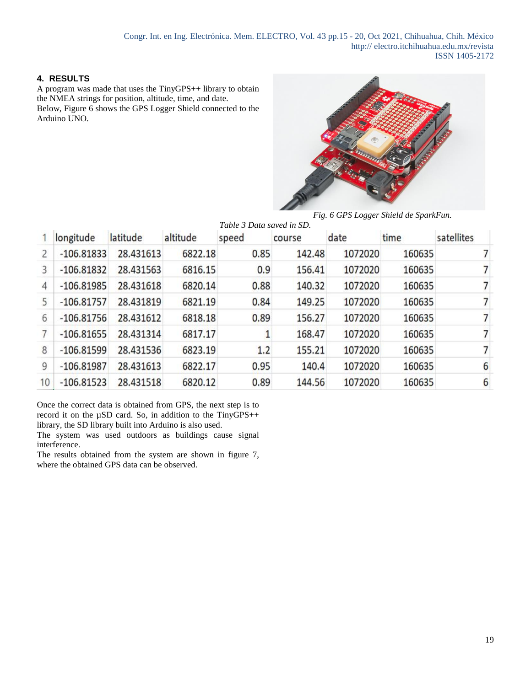## **4. RESULTS**

A program was made that uses the TinyGPS++ library to obtain the NMEA strings for position, altitude, time, and date. Below, Figure 6 shows the GPS Logger Shield connected to the Arduino UNO.



*Fig. 6 GPS Logger Shield de SparkFun.*

|    |              |           |          | Table 3 Data saved in SD. |        |         |        |            |
|----|--------------|-----------|----------|---------------------------|--------|---------|--------|------------|
|    | longitude    | latitude  | altitude | speed                     | course | date    | time   | satellites |
| 2  | $-106.81833$ | 28.431613 | 6822.18  | 0.85                      | 142.48 | 1072020 | 160635 |            |
| 3  | $-106.81832$ | 28.431563 | 6816.15  | 0.9                       | 156.41 | 1072020 | 160635 |            |
| 4  | $-106.81985$ | 28.431618 | 6820.14  | 0.88                      | 140.32 | 1072020 | 160635 | 7          |
| 5  | $-106.81757$ | 28.431819 | 6821.19  | 0.84                      | 149.25 | 1072020 | 160635 | 7          |
| 6  | $-106.81756$ | 28.431612 | 6818.18  | 0.89                      | 156.27 | 1072020 | 160635 | 7          |
|    | $-106.81655$ | 28.431314 | 6817.17  |                           | 168.47 | 1072020 | 160635 |            |
| 8  | $-106.81599$ | 28.431536 | 6823.19  | 1.2                       | 155.21 | 1072020 | 160635 |            |
| 9  | $-106.81987$ | 28.431613 | 6822.17  | 0.95                      | 140.4  | 1072020 | 160635 | 6          |
| 10 | $-106.81523$ | 28.431518 | 6820.12  | 0.89                      | 144.56 | 1072020 | 160635 | 6          |

Once the correct data is obtained from GPS, the next step is to record it on the  $\mu SD$  card. So, in addition to the TinyGPS++ library, the SD library built into Arduino is also used.

The system was used outdoors as buildings cause signal interference.

The results obtained from the system are shown in figure 7, where the obtained GPS data can be observed.